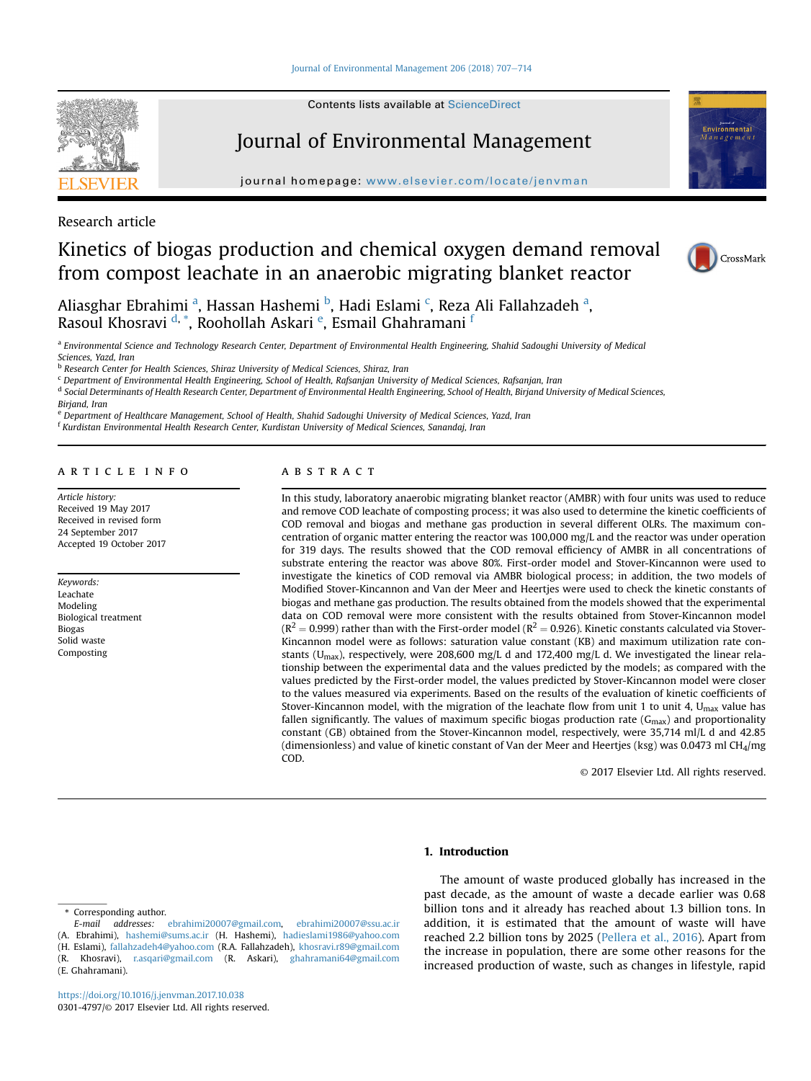

Contents lists available at ScienceDirect

# Journal of Environmental Management

journal homepage: [www.elsevier.com/locate/jenvman](http://www.elsevier.com/locate/jenvman)



# Research article

# Kinetics of biogas production and chemical oxygen demand removal from compost leachate in an anaerobic migrating blanket reactor



Aliasghar Ebrahimi <sup>a</sup>, Hassan Hashemi <sup>b</sup>, Hadi Eslami <sup>c</sup>, Reza Ali Fallahzadeh <sup>a</sup>, Rasoul Khosravi <sup>d, \*</sup>, Roohollah Askari <sup>e</sup>, Esmail Ghahramani <sup>f</sup>

a Environmental Science and Technology Research Center, Department of Environmental Health Engineering, Shahid Sadoughi University of Medical Sciences, Yazd, Iran

**b** Research Center for Health Sciences, Shiraz University of Medical Sciences, Shiraz, Iran

<sup>c</sup> Department of Environmental Health Engineering, School of Health, Rafsanjan University of Medical Sciences, Rafsanjan, Iran

<sup>d</sup> Social Determinants of Health Research Center, Department of Environmental Health Engineering, School of Health, Birjand University of Medical Sciences,

Birjand, Iran

e Department of Healthcare Management, School of Health, Shahid Sadoughi University of Medical Sciences, Yazd, Iran

<sup>f</sup> Kurdistan Environmental Health Research Center, Kurdistan University of Medical Sciences, Sanandaj, Iran

#### article info

Article history: Received 19 May 2017 Received in revised form 24 September 2017 Accepted 19 October 2017

Keywords: Leachate Modeling Biological treatment Biogas Solid waste Composting

# **ABSTRACT**

In this study, laboratory anaerobic migrating blanket reactor (AMBR) with four units was used to reduce and remove COD leachate of composting process; it was also used to determine the kinetic coefficients of COD removal and biogas and methane gas production in several different OLRs. The maximum concentration of organic matter entering the reactor was 100,000 mg/L and the reactor was under operation for 319 days. The results showed that the COD removal efficiency of AMBR in all concentrations of substrate entering the reactor was above 80%. First-order model and Stover-Kincannon were used to investigate the kinetics of COD removal via AMBR biological process; in addition, the two models of Modified Stover-Kincannon and Van der Meer and Heertjes were used to check the kinetic constants of biogas and methane gas production. The results obtained from the models showed that the experimental data on COD removal were more consistent with the results obtained from Stover-Kincannon model  $(R^2 = 0.999)$  rather than with the First-order model ( $R^2 = 0.926$ ). Kinetic constants calculated via Stover-Kincannon model were as follows: saturation value constant (KB) and maximum utilization rate constants ( $U<sub>max</sub>$ ), respectively, were 208,600 mg/L d and 172,400 mg/L d. We investigated the linear relationship between the experimental data and the values predicted by the models; as compared with the values predicted by the First-order model, the values predicted by Stover-Kincannon model were closer to the values measured via experiments. Based on the results of the evaluation of kinetic coefficients of Stover-Kincannon model, with the migration of the leachate flow from unit 1 to unit 4,  $U<sub>max</sub>$  value has fallen significantly. The values of maximum specific biogas production rate  $(G_{\text{max}})$  and proportionality constant (GB) obtained from the Stover-Kincannon model, respectively, were 35,714 ml/L d and 42.85 (dimensionless) and value of kinetic constant of Van der Meer and Heertjes (ksg) was 0.0473 ml CH4/mg COD.

© 2017 Elsevier Ltd. All rights reserved.

# 1. Introduction

Corresponding author.

The amount of waste produced globally has increased in the past decade, as the amount of waste a decade earlier was 0.68 billion tons and it already has reached about 1.3 billion tons. In addition, it is estimated that the amount of waste will have reached 2.2 billion tons by 2025 ([Pellera et al., 2016\)](#page-7-0). Apart from the increase in population, there are some other reasons for the increased production of waste, such as changes in lifestyle, rapid

E-mail addresses: [ebrahimi20007@gmail.com](mailto:ebrahimi20007@gmail.com), [ebrahimi20007@ssu.ac.ir](mailto:ebrahimi20007@ssu.ac.ir) (A. Ebrahimi), [hashemi@sums.ac.ir](mailto:hashemi@sums.ac.ir) (H. Hashemi), [hadieslami1986@yahoo.com](mailto:hadieslami1986@yahoo.com) (H. Eslami), [fallahzadeh4@yahoo.com](mailto:fallahzadeh4@yahoo.com) (R.A. Fallahzadeh), [khosravi.r89@gmail.com](mailto:khosravi.r89@gmail.com) (R. Khosravi), [r.asqari@gmail.com](mailto:r.asqari@gmail.com) (R. Askari), [ghahramani64@gmail.com](mailto:ghahramani64@gmail.com) (E. Ghahramani).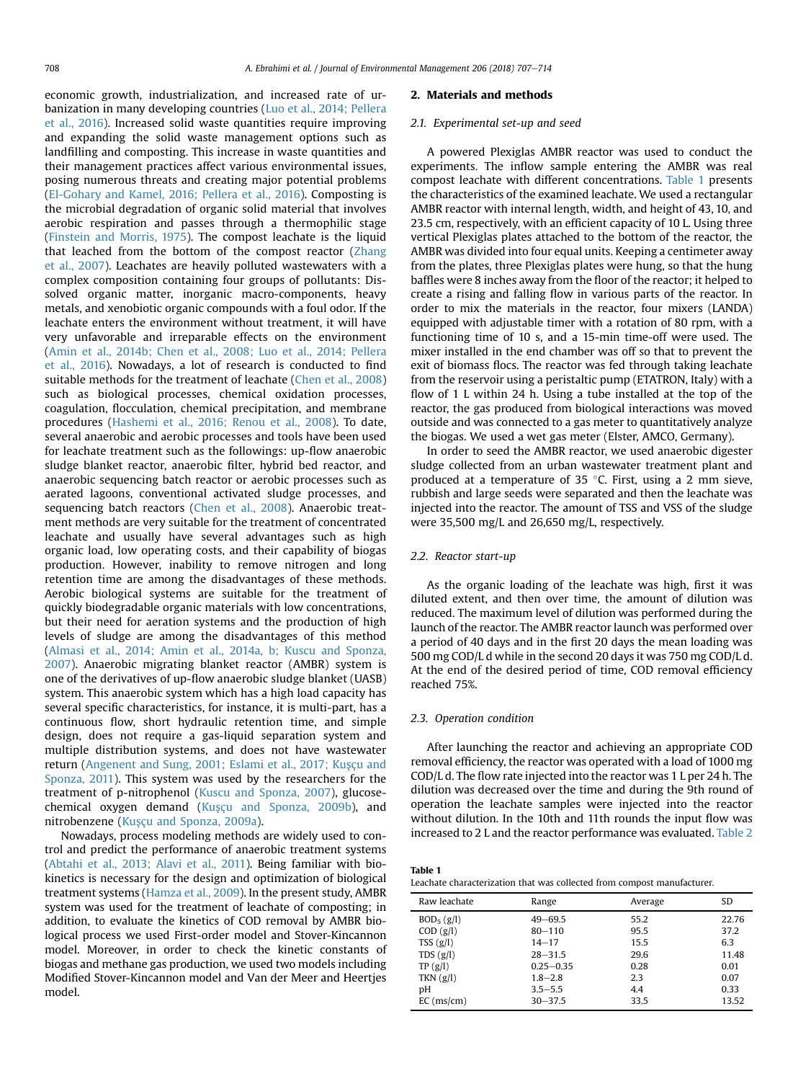<span id="page-1-0"></span>economic growth, industrialization, and increased rate of urbanization in many developing countries [\(Luo et al., 2014; Pellera](#page-7-0) [et al., 2016](#page-7-0)). Increased solid waste quantities require improving and expanding the solid waste management options such as landfilling and composting. This increase in waste quantities and their management practices affect various environmental issues, posing numerous threats and creating major potential problems ([El-Gohary and Kamel, 2016; Pellera et al., 2016\)](#page-7-0). Composting is the microbial degradation of organic solid material that involves aerobic respiration and passes through a thermophilic stage ([Finstein and Morris, 1975](#page-7-0)). The compost leachate is the liquid that leached from the bottom of the compost reactor [\(Zhang](#page-7-0) [et al., 2007\)](#page-7-0). Leachates are heavily polluted wastewaters with a complex composition containing four groups of pollutants: Dissolved organic matter, inorganic macro-components, heavy metals, and xenobiotic organic compounds with a foul odor. If the leachate enters the environment without treatment, it will have very unfavorable and irreparable effects on the environment ([Amin et al., 2014b; Chen et al., 2008; Luo et al., 2014; Pellera](#page-7-0) [et al., 2016\)](#page-7-0). Nowadays, a lot of research is conducted to find suitable methods for the treatment of leachate ([Chen et al., 2008\)](#page-7-0) such as biological processes, chemical oxidation processes, coagulation, flocculation, chemical precipitation, and membrane procedures [\(Hashemi et al., 2016; Renou et al., 2008\)](#page-7-0). To date, several anaerobic and aerobic processes and tools have been used for leachate treatment such as the followings: up-flow anaerobic sludge blanket reactor, anaerobic filter, hybrid bed reactor, and anaerobic sequencing batch reactor or aerobic processes such as aerated lagoons, conventional activated sludge processes, and sequencing batch reactors ([Chen et al., 2008](#page-7-0)). Anaerobic treatment methods are very suitable for the treatment of concentrated leachate and usually have several advantages such as high organic load, low operating costs, and their capability of biogas production. However, inability to remove nitrogen and long retention time are among the disadvantages of these methods. Aerobic biological systems are suitable for the treatment of quickly biodegradable organic materials with low concentrations, but their need for aeration systems and the production of high levels of sludge are among the disadvantages of this method ([Almasi et al., 2014; Amin et al., 2014a, b; Kuscu and Sponza,](#page-7-0) [2007](#page-7-0)). Anaerobic migrating blanket reactor (AMBR) system is one of the derivatives of up-flow anaerobic sludge blanket (UASB) system. This anaerobic system which has a high load capacity has several specific characteristics, for instance, it is multi-part, has a continuous flow, short hydraulic retention time, and simple design, does not require a gas-liquid separation system and multiple distribution systems, and does not have wastewater return (Angenent and Sung, 2001; Eslami et al., 2017; Kuşçu and [Sponza, 2011\)](#page-7-0). This system was used by the researchers for the treatment of p-nitrophenol [\(Kuscu and Sponza, 2007](#page-7-0)), glucosechemical oxygen demand (Kuşçu and Sponza, 2009b), and nitrobenzene (Kuşçu and Sponza, 2009a).

Nowadays, process modeling methods are widely used to control and predict the performance of anaerobic treatment systems ([Abtahi et al., 2013; Alavi et al., 2011\)](#page-7-0). Being familiar with biokinetics is necessary for the design and optimization of biological treatment systems [\(Hamza et al., 2009\)](#page-7-0). In the present study, AMBR system was used for the treatment of leachate of composting; in addition, to evaluate the kinetics of COD removal by AMBR biological process we used First-order model and Stover-Kincannon model. Moreover, in order to check the kinetic constants of biogas and methane gas production, we used two models including Modified Stover-Kincannon model and Van der Meer and Heertjes model.

#### 2. Materials and methods

#### 2.1. Experimental set-up and seed

A powered Plexiglas AMBR reactor was used to conduct the experiments. The inflow sample entering the AMBR was real compost leachate with different concentrations. Table 1 presents the characteristics of the examined leachate. We used a rectangular AMBR reactor with internal length, width, and height of 43, 10, and 23.5 cm, respectively, with an efficient capacity of 10 L. Using three vertical Plexiglas plates attached to the bottom of the reactor, the AMBR was divided into four equal units. Keeping a centimeter away from the plates, three Plexiglas plates were hung, so that the hung baffles were 8 inches away from the floor of the reactor; it helped to create a rising and falling flow in various parts of the reactor. In order to mix the materials in the reactor, four mixers (LANDA) equipped with adjustable timer with a rotation of 80 rpm, with a functioning time of 10 s, and a 15-min time-off were used. The mixer installed in the end chamber was off so that to prevent the exit of biomass flocs. The reactor was fed through taking leachate from the reservoir using a peristaltic pump (ETATRON, Italy) with a flow of 1 L within 24 h. Using a tube installed at the top of the reactor, the gas produced from biological interactions was moved outside and was connected to a gas meter to quantitatively analyze the biogas. We used a wet gas meter (Elster, AMCO, Germany).

In order to seed the AMBR reactor, we used anaerobic digester sludge collected from an urban wastewater treatment plant and produced at a temperature of 35 °C. First, using a 2 mm sieve, rubbish and large seeds were separated and then the leachate was injected into the reactor. The amount of TSS and VSS of the sludge were 35,500 mg/L and 26,650 mg/L, respectively.

#### 2.2. Reactor start-up

As the organic loading of the leachate was high, first it was diluted extent, and then over time, the amount of dilution was reduced. The maximum level of dilution was performed during the launch of the reactor. The AMBR reactor launch was performed over a period of 40 days and in the first 20 days the mean loading was 500 mg COD/L d while in the second 20 days it was 750 mg COD/L d. At the end of the desired period of time, COD removal efficiency reached 75%.

#### 2.3. Operation condition

After launching the reactor and achieving an appropriate COD removal efficiency, the reactor was operated with a load of 1000 mg COD/L d. The flow rate injected into the reactor was 1 L per 24 h. The dilution was decreased over the time and during the 9th round of operation the leachate samples were injected into the reactor without dilution. In the 10th and 11th rounds the input flow was increased to 2 L and the reactor performance was evaluated. [Table 2](#page-2-0)

| Table 1                                                                 |  |
|-------------------------------------------------------------------------|--|
| Leachate characterization that was collected from compost manufacturer. |  |

| Raw leachate           | Range         | Average | SD.   |
|------------------------|---------------|---------|-------|
| BOD <sub>5</sub> (g/l) | $49 - 69.5$   | 55.2    | 22.76 |
| COD (g/l)              | $80 - 110$    | 95.5    | 37.2  |
| TSS(g/l)               | $14 - 17$     | 15.5    | 6.3   |
| TDS $(g/l)$            | $28 - 31.5$   | 29.6    | 11.48 |
| TP(g/l)                | $0.25 - 0.35$ | 0.28    | 0.01  |
| TKN(g/l)               | $1.8 - 2.8$   | 2.3     | 0.07  |
| pH                     | $3.5 - 5.5$   | 4.4     | 0.33  |
| $EC$ (ms/cm)           | $30 - 37.5$   | 33.5    | 13.52 |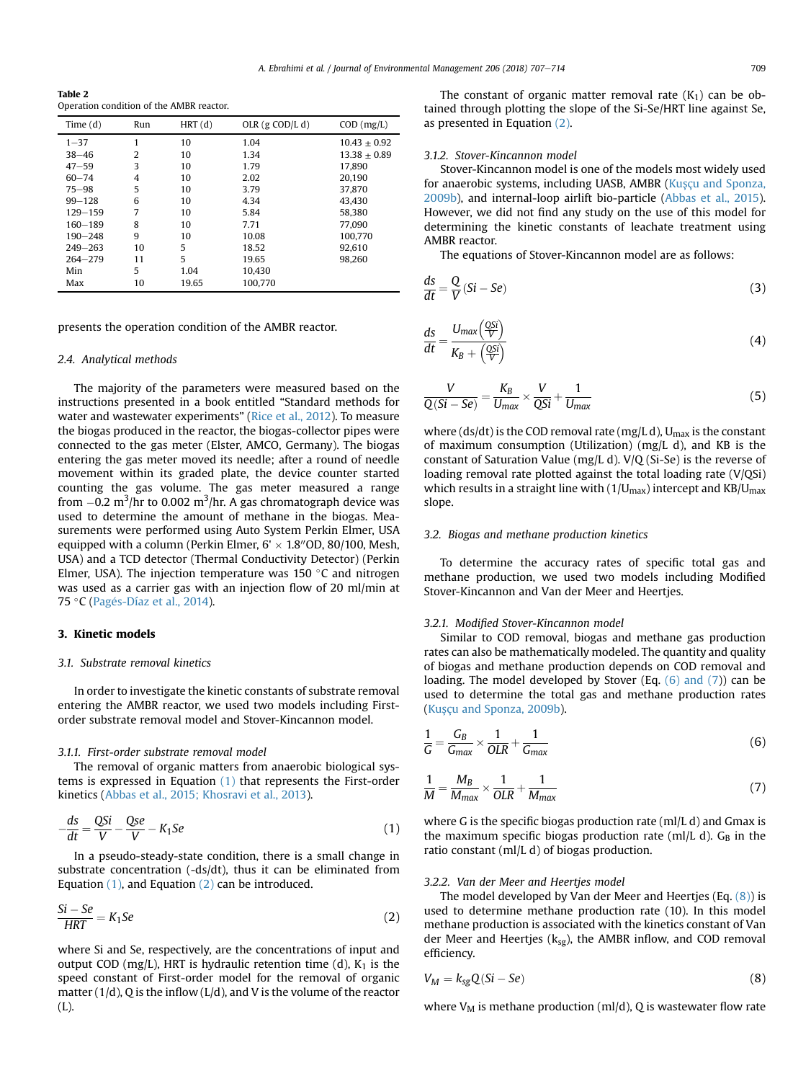<span id="page-2-0"></span>Table 2 Operation condition of the AMBR reactor.

| Time $(d)$  | Run | HRT(d) | OLR $(g \text{ COD/L } d)$ | $COD$ (mg/L)   |
|-------------|-----|--------|----------------------------|----------------|
| $1 - 37$    | 1   | 10     | 1.04                       | $10.43 + 0.92$ |
| $38 - 46$   | 2   | 10     | 1.34                       | $13.38 + 0.89$ |
| $47 - 59$   | 3   | 10     | 1.79                       | 17.890         |
| $60 - 74$   | 4   | 10     | 2.02                       | 20.190         |
| $75 - 98$   | 5   | 10     | 3.79                       | 37.870         |
| $99 - 128$  | 6   | 10     | 4.34                       | 43.430         |
| 129-159     | 7   | 10     | 5.84                       | 58.380         |
| 160-189     | 8   | 10     | 7.71                       | 77.090         |
| $190 - 248$ | 9   | 10     | 10.08                      | 100.770        |
| $249 - 263$ | 10  | 5      | 18.52                      | 92.610         |
| $264 - 279$ | 11  | 5      | 19.65                      | 98.260         |
| Min         | 5   | 1.04   | 10.430                     |                |
| Max         | 10  | 19.65  | 100.770                    |                |

presents the operation condition of the AMBR reactor.

#### 2.4. Analytical methods

The majority of the parameters were measured based on the instructions presented in a book entitled "Standard methods for water and wastewater experiments" ([Rice et al., 2012](#page-7-0)). To measure the biogas produced in the reactor, the biogas-collector pipes were connected to the gas meter (Elster, AMCO, Germany). The biogas entering the gas meter moved its needle; after a round of needle movement within its graded plate, the device counter started counting the gas volume. The gas meter measured a range from  $-0.2 \text{ m}^3\text{/hr}$  to 0.002 m<sup>3</sup>/hr. A gas chromatograph device was used to determine the amount of methane in the biogas. Measurements were performed using Auto System Perkin Elmer, USA equipped with a column (Perkin Elmer,  $6' \times 1.8''$ OD, 80/100, Mesh, USA) and a TCD detector (Thermal Conductivity Detector) (Perkin Elmer, USA). The injection temperature was 150  $\degree$ C and nitrogen was used as a carrier gas with an injection flow of 20 ml/min at 75 °C (Pagés-Díaz et al., 2014).

# 3. Kinetic models

#### 3.1. Substrate removal kinetics

In order to investigate the kinetic constants of substrate removal entering the AMBR reactor, we used two models including Firstorder substrate removal model and Stover-Kincannon model.

#### 3.1.1. First-order substrate removal model

The removal of organic matters from anaerobic biological systems is expressed in Equation (1) that represents the First-order kinetics [\(Abbas et al., 2015; Khosravi et al., 2013](#page-7-0)).

$$
-\frac{ds}{dt} = \frac{QSi}{V} - \frac{Qse}{V} - K_1Se
$$
\n(1)

In a pseudo-steady-state condition, there is a small change in substrate concentration (-ds/dt), thus it can be eliminated from Equation  $(1)$ , and Equation  $(2)$  can be introduced.

$$
\frac{Si - Se}{HRT} = K_1 Se \tag{2}
$$

where Si and Se, respectively, are the concentrations of input and output COD (mg/L), HRT is hydraulic retention time (d),  $K_1$  is the speed constant of First-order model for the removal of organic matter ( $1/d$ ), Q is the inflow ( $L/d$ ), and V is the volume of the reactor (L).

The constant of organic matter removal rate  $(K_1)$  can be obtained through plotting the slope of the Si-Se/HRT line against Se, as presented in Equation (2).

#### 3.1.2. Stover-Kincannon model

Stover-Kincannon model is one of the models most widely used for anaerobic systems, including UASB, AMBR [\(Kus](#page-7-0)cu and Sponza, [2009b](#page-7-0)), and internal-loop airlift bio-particle ([Abbas et al., 2015\)](#page-7-0). However, we did not find any study on the use of this model for determining the kinetic constants of leachate treatment using AMBR reactor.

The equations of Stover-Kincannon model are as follows:

$$
\frac{ds}{dt} = \frac{Q}{V}(Si - Se)
$$
\n(3)

$$
\frac{ds}{dt} = \frac{U_{max}\left(\frac{QSi}{V}\right)}{K_B + \left(\frac{QSi}{V}\right)}\tag{4}
$$

$$
\frac{V}{Q(Si - Se)} = \frac{K_B}{U_{max}} \times \frac{V}{QSi} + \frac{1}{U_{max}}
$$
(5)

where (ds/dt) is the COD removal rate (mg/L d),  $U_{\text{max}}$  is the constant of maximum consumption (Utilization) (mg/L d), and KB is the constant of Saturation Value (mg/L d). V/Q (Si-Se) is the reverse of loading removal rate plotted against the total loading rate (V/QSi) which results in a straight line with  $(1/U_{max})$  intercept and KB/U<sub>max</sub> slope.

#### 3.2. Biogas and methane production kinetics

To determine the accuracy rates of specific total gas and methane production, we used two models including Modified Stover-Kincannon and Van der Meer and Heertjes.

#### 3.2.1. Modified Stover-Kincannon model

Similar to COD removal, biogas and methane gas production rates can also be mathematically modeled. The quantity and quality of biogas and methane production depends on COD removal and loading. The model developed by Stover (Eq. (6) and (7)) can be used to determine the total gas and methane production rates (Kuşçu and Sponza, 2009b).

$$
\frac{1}{G} = \frac{G_B}{G_{max}} \times \frac{1}{OLR} + \frac{1}{G_{max}}
$$
(6)

$$
\frac{1}{M} = \frac{M_B}{M_{max}} \times \frac{1}{OLR} + \frac{1}{M_{max}}
$$
\n(7)

where G is the specific biogas production rate (ml/L d) and Gmax is the maximum specific biogas production rate (ml/L d).  $G_B$  in the ratio constant (ml/L d) of biogas production.

#### 3.2.2. Van der Meer and Heertjes model

The model developed by Van der Meer and Heertjes (Eq. (8)) is used to determine methane production rate (10). In this model methane production is associated with the kinetics constant of Van der Meer and Heertjes ( $k_{sg}$ ), the AMBR inflow, and COD removal efficiency.

$$
V_M = k_{sg} Q(Si - Se) \tag{8}
$$

where  $V_M$  is methane production (ml/d), Q is wastewater flow rate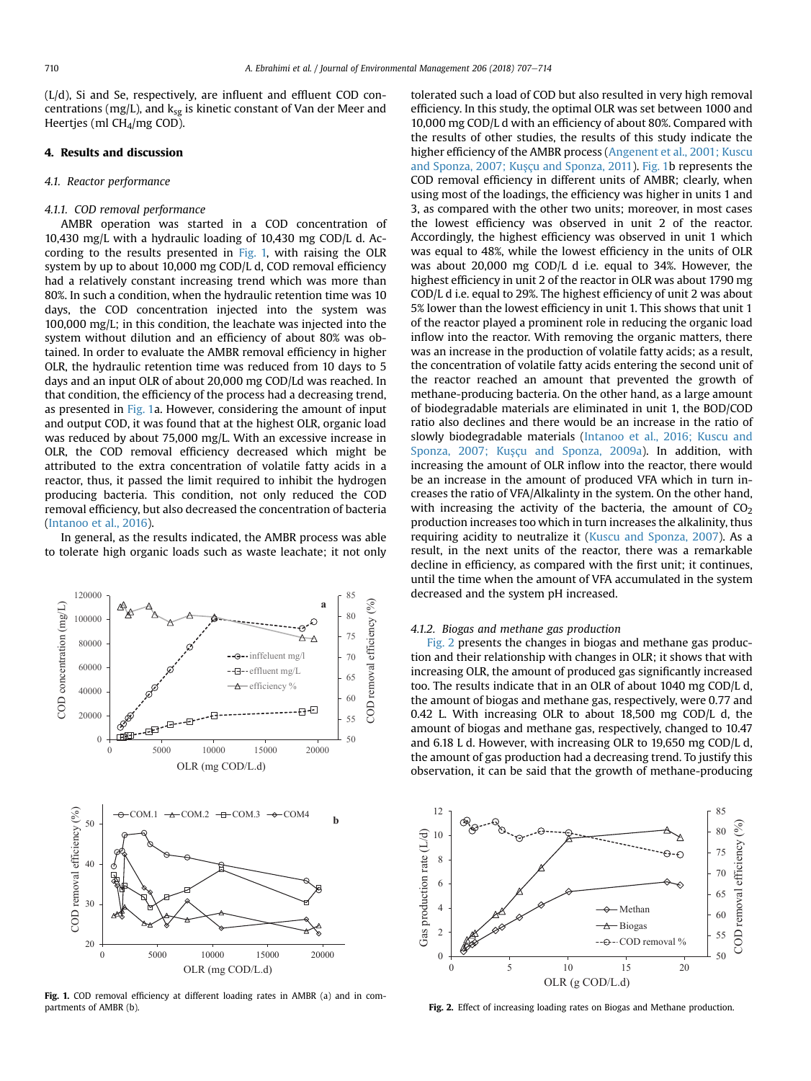<span id="page-3-0"></span>(L/d), Si and Se, respectively, are influent and effluent COD concentrations (mg/L), and  $k_{sg}$  is kinetic constant of Van der Meer and Heertjes (ml CH4/mg COD).

#### 4. Results and discussion

### 4.1. Reactor performance

#### 4.1.1. COD removal performance

AMBR operation was started in a COD concentration of 10,430 mg/L with a hydraulic loading of 10,430 mg COD/L d. According to the results presented in Fig. 1, with raising the OLR system by up to about 10,000 mg COD/L d, COD removal efficiency had a relatively constant increasing trend which was more than 80%. In such a condition, when the hydraulic retention time was 10 days, the COD concentration injected into the system was 100,000 mg/L; in this condition, the leachate was injected into the system without dilution and an efficiency of about 80% was obtained. In order to evaluate the AMBR removal efficiency in higher OLR, the hydraulic retention time was reduced from 10 days to 5 days and an input OLR of about 20,000 mg COD/Ld was reached. In that condition, the efficiency of the process had a decreasing trend, as presented in Fig. 1a. However, considering the amount of input and output COD, it was found that at the highest OLR, organic load was reduced by about 75,000 mg/L. With an excessive increase in OLR, the COD removal efficiency decreased which might be attributed to the extra concentration of volatile fatty acids in a reactor, thus, it passed the limit required to inhibit the hydrogen producing bacteria. This condition, not only reduced the COD removal efficiency, but also decreased the concentration of bacteria ([Intanoo et al., 2016](#page-7-0)).

In general, as the results indicated, the AMBR process was able to tolerate high organic loads such as waste leachate; it not only



Fig. 1. COD removal efficiency at different loading rates in AMBR (a) and in compartments of AMBR (b).

tolerated such a load of COD but also resulted in very high removal efficiency. In this study, the optimal OLR was set between 1000 and 10,000 mg COD/L d with an efficiency of about 80%. Compared with the results of other studies, the results of this study indicate the higher efficiency of the AMBR process [\(Angenent et al., 2001; Kuscu](#page-7-0) [and Sponza, 2007; Ku](#page-7-0)şçu and Sponza, 2011). Fig. 1b represents the COD removal efficiency in different units of AMBR; clearly, when using most of the loadings, the efficiency was higher in units 1 and 3, as compared with the other two units; moreover, in most cases the lowest efficiency was observed in unit 2 of the reactor. Accordingly, the highest efficiency was observed in unit 1 which was equal to 48%, while the lowest efficiency in the units of OLR was about 20,000 mg COD/L d i.e. equal to 34%. However, the highest efficiency in unit 2 of the reactor in OLR was about 1790 mg COD/L d i.e. equal to 29%. The highest efficiency of unit 2 was about 5% lower than the lowest efficiency in unit 1. This shows that unit 1 of the reactor played a prominent role in reducing the organic load inflow into the reactor. With removing the organic matters, there was an increase in the production of volatile fatty acids; as a result, the concentration of volatile fatty acids entering the second unit of the reactor reached an amount that prevented the growth of methane-producing bacteria. On the other hand, as a large amount of biodegradable materials are eliminated in unit 1, the BOD/COD ratio also declines and there would be an increase in the ratio of slowly biodegradable materials [\(Intanoo et al., 2016; Kuscu and](#page-7-0) Sponza, 2007; Kuşçu and Sponza, 2009a). In addition, with increasing the amount of OLR inflow into the reactor, there would be an increase in the amount of produced VFA which in turn increases the ratio of VFA/Alkalinty in the system. On the other hand, with increasing the activity of the bacteria, the amount of  $CO<sub>2</sub>$ production increases too which in turn increases the alkalinity, thus requiring acidity to neutralize it ([Kuscu and Sponza, 2007\)](#page-7-0). As a result, in the next units of the reactor, there was a remarkable decline in efficiency, as compared with the first unit; it continues, until the time when the amount of VFA accumulated in the system decreased and the system pH increased.

#### 4.1.2. Biogas and methane gas production

Fig. 2 presents the changes in biogas and methane gas production and their relationship with changes in OLR; it shows that with increasing OLR, the amount of produced gas significantly increased too. The results indicate that in an OLR of about 1040 mg COD/L d, the amount of biogas and methane gas, respectively, were 0.77 and 0.42 L. With increasing OLR to about 18,500 mg COD/L d, the amount of biogas and methane gas, respectively, changed to 10.47 and 6.18 L d. However, with increasing OLR to 19,650 mg COD/L d, the amount of gas production had a decreasing trend. To justify this observation, it can be said that the growth of methane-producing



Fig. 2. Effect of increasing loading rates on Biogas and Methane production.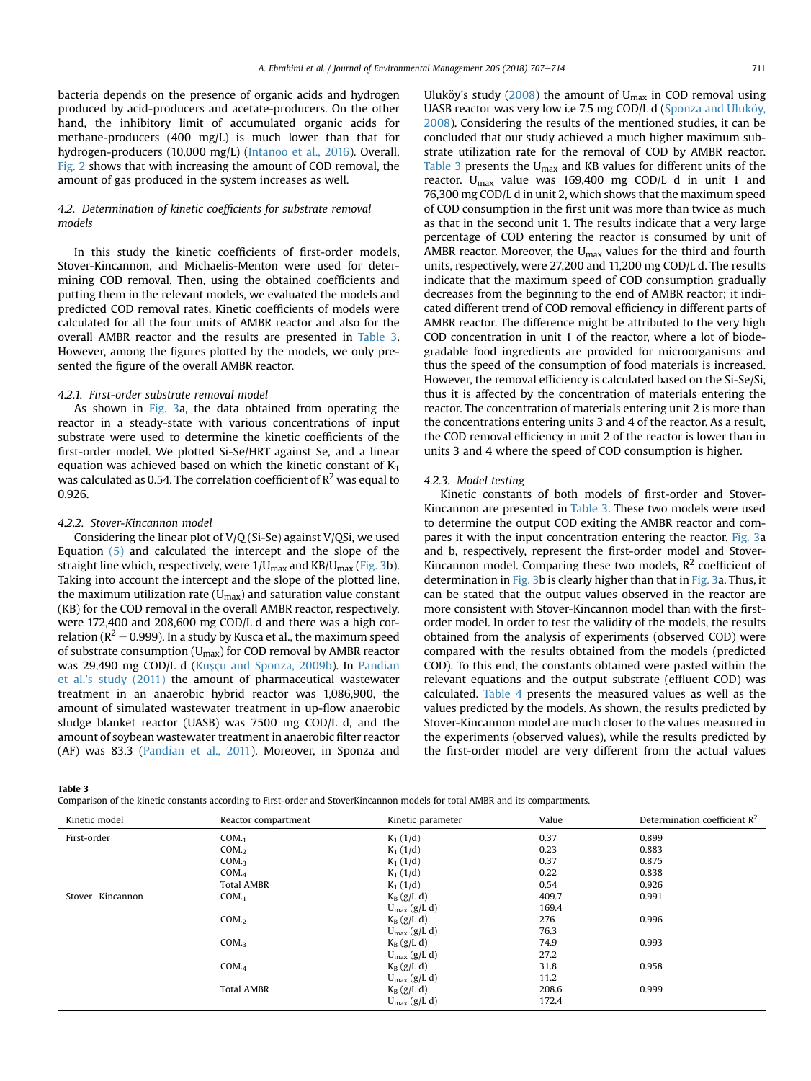bacteria depends on the presence of organic acids and hydrogen produced by acid-producers and acetate-producers. On the other hand, the inhibitory limit of accumulated organic acids for methane-producers (400 mg/L) is much lower than that for hydrogen-producers (10,000 mg/L) [\(Intanoo et al., 2016\)](#page-7-0). Overall, [Fig. 2](#page-3-0) shows that with increasing the amount of COD removal, the amount of gas produced in the system increases as well.

# 4.2. Determination of kinetic coefficients for substrate removal models

In this study the kinetic coefficients of first-order models, Stover-Kincannon, and Michaelis-Menton were used for determining COD removal. Then, using the obtained coefficients and putting them in the relevant models, we evaluated the models and predicted COD removal rates. Kinetic coefficients of models were calculated for all the four units of AMBR reactor and also for the overall AMBR reactor and the results are presented in Table 3. However, among the figures plotted by the models, we only presented the figure of the overall AMBR reactor.

#### 4.2.1. First-order substrate removal model

As shown in [Fig. 3a](#page-5-0), the data obtained from operating the reactor in a steady-state with various concentrations of input substrate were used to determine the kinetic coefficients of the first-order model. We plotted Si-Se/HRT against Se, and a linear equation was achieved based on which the kinetic constant of  $K_1$ was calculated as 0.54. The correlation coefficient of  $\mathbb{R}^2$  was equal to 0.926.

#### 4.2.2. Stover-Kincannon model

Considering the linear plot of V/Q (Si-Se) against V/QSi, we used Equation [\(5\)](#page-2-0) and calculated the intercept and the slope of the straight line which, respectively, were  $1/U_{max}$  and  $KB/U_{max}$  [\(Fig. 3b](#page-5-0)). Taking into account the intercept and the slope of the plotted line, the maximum utilization rate  $(U_{\text{max}})$  and saturation value constant (KB) for the COD removal in the overall AMBR reactor, respectively, were 172,400 and 208,600 mg COD/L d and there was a high correlation ( $R^2$  = 0.999). In a study by Kusca et al., the maximum speed of substrate consumption ( $U_{\text{max}}$ ) for COD removal by AMBR reactor was 29,490 mg COD/L d (Kuşçu and Sponza, 2009b). In [Pandian](#page-7-0) [et al.'s study \(2011\)](#page-7-0) the amount of pharmaceutical wastewater treatment in an anaerobic hybrid reactor was 1,086,900, the amount of simulated wastewater treatment in up-flow anaerobic sludge blanket reactor (UASB) was 7500 mg COD/L d, and the amount of soybean wastewater treatment in anaerobic filter reactor (AF) was 83.3 [\(Pandian et al., 2011](#page-7-0)). Moreover, in Sponza and Uluköy's study ( $2008$ ) the amount of U<sub>max</sub> in COD removal using UASB reactor was very low i.e 7.5 mg COD/L d (Sponza and Uluköy, [2008\)](#page-7-0). Considering the results of the mentioned studies, it can be concluded that our study achieved a much higher maximum substrate utilization rate for the removal of COD by AMBR reactor. Table 3 presents the  $U_{\text{max}}$  and KB values for different units of the reactor. U<sub>max</sub> value was 169,400 mg COD/L d in unit 1 and 76,300 mg COD/L d in unit 2, which shows that the maximum speed of COD consumption in the first unit was more than twice as much as that in the second unit 1. The results indicate that a very large percentage of COD entering the reactor is consumed by unit of AMBR reactor. Moreover, the  $U_{\text{max}}$  values for the third and fourth units, respectively, were 27,200 and 11,200 mg COD/L d. The results indicate that the maximum speed of COD consumption gradually decreases from the beginning to the end of AMBR reactor; it indicated different trend of COD removal efficiency in different parts of AMBR reactor. The difference might be attributed to the very high COD concentration in unit 1 of the reactor, where a lot of biodegradable food ingredients are provided for microorganisms and thus the speed of the consumption of food materials is increased. However, the removal efficiency is calculated based on the Si-Se/Si, thus it is affected by the concentration of materials entering the reactor. The concentration of materials entering unit 2 is more than the concentrations entering units 3 and 4 of the reactor. As a result, the COD removal efficiency in unit 2 of the reactor is lower than in units 3 and 4 where the speed of COD consumption is higher.

#### 4.2.3. Model testing

Kinetic constants of both models of first-order and Stover-Kincannon are presented in Table 3. These two models were used to determine the output COD exiting the AMBR reactor and compares it with the input concentration entering the reactor. [Fig. 3](#page-5-0)a and b, respectively, represent the first-order model and Stover-Kincannon model. Comparing these two models,  $R^2$  coefficient of determination in [Fig. 3b](#page-5-0) is clearly higher than that in [Fig. 3a](#page-5-0). Thus, it can be stated that the output values observed in the reactor are more consistent with Stover-Kincannon model than with the firstorder model. In order to test the validity of the models, the results obtained from the analysis of experiments (observed COD) were compared with the results obtained from the models (predicted COD). To this end, the constants obtained were pasted within the relevant equations and the output substrate (effluent COD) was calculated. [Table 4](#page-6-0) presents the measured values as well as the values predicted by the models. As shown, the results predicted by Stover-Kincannon model are much closer to the values measured in the experiments (observed values), while the results predicted by the first-order model are very different from the actual values

Table 3

Comparison of the kinetic constants according to First-order and StoverKincannon models for total AMBR and its compartments.

| Kinetic model    | Reactor compartment | Kinetic parameter        | Value | Determination coefficient $\mathbb{R}^2$ |
|------------------|---------------------|--------------------------|-------|------------------------------------------|
| First-order      | COM.1               | $K_1(1/d)$               | 0.37  | 0.899                                    |
|                  | COM <sub>2</sub>    | $K_1(1/d)$               | 0.23  | 0.883                                    |
|                  | $COM_{.3}$          | $K_1(1/d)$               | 0.37  | 0.875                                    |
|                  | COM. <sub>4</sub>   | $K_1(1/d)$               | 0.22  | 0.838                                    |
|                  | <b>Total AMBR</b>   | $K_1(1/d)$               | 0.54  | 0.926                                    |
| Stover-Kincannon | COM.1               | $K_B$ (g/L d)            | 409.7 | 0.991                                    |
|                  |                     | $U_{\text{max}}$ (g/L d) | 169.4 |                                          |
|                  | COM <sub>2</sub>    | $K_B$ (g/L d)            | 276   | 0.996                                    |
|                  |                     | $U_{\text{max}}(g/L d)$  | 76.3  |                                          |
|                  | $COM_{.3}$          | $K_B$ (g/L d)            | 74.9  | 0.993                                    |
|                  |                     | $U_{\text{max}}$ (g/L d) | 27.2  |                                          |
|                  | COM. <sub>4</sub>   | $K_B$ (g/L d)            | 31.8  | 0.958                                    |
|                  |                     | $U_{\text{max}}(g/L d)$  | 11.2  |                                          |
|                  | <b>Total AMBR</b>   | $K_B$ (g/L d)            | 208.6 | 0.999                                    |
|                  |                     | $U_{\text{max}}(g/L d)$  | 172.4 |                                          |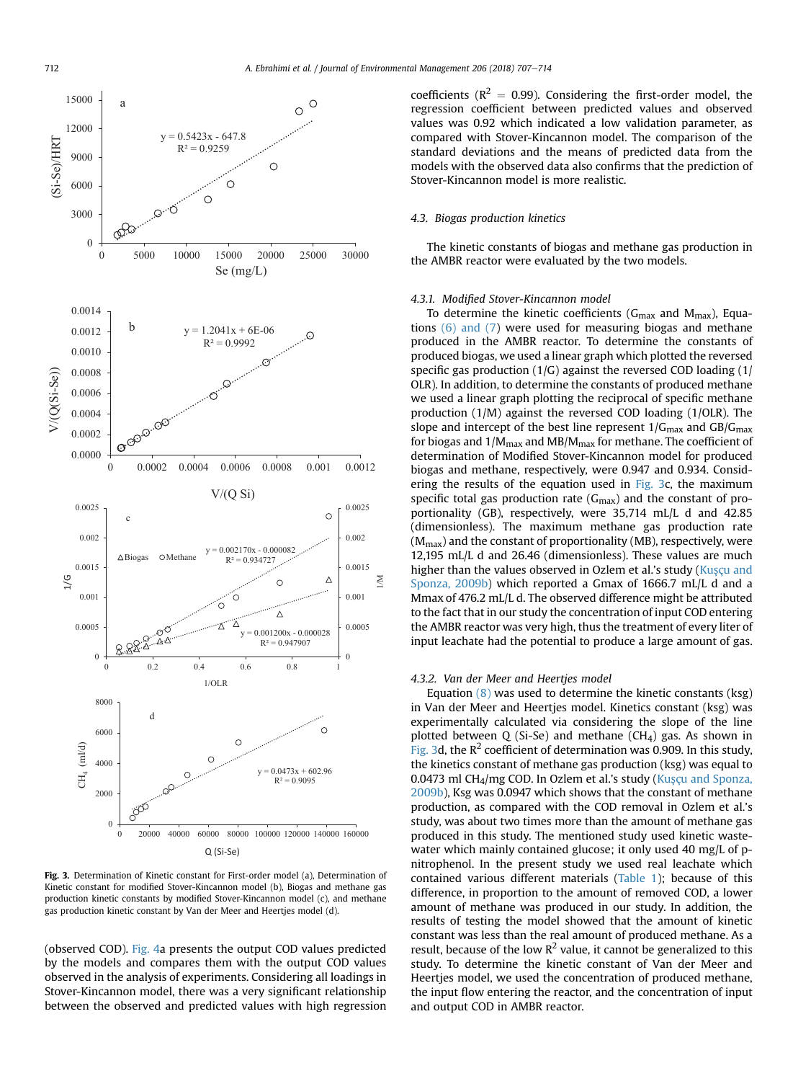<span id="page-5-0"></span>

Fig. 3. Determination of Kinetic constant for First-order model (a), Determination of Kinetic constant for modified Stover-Kincannon model (b), Biogas and methane gas production kinetic constants by modified Stover-Kincannon model (c), and methane gas production kinetic constant by Van der Meer and Heertjes model (d).

(observed COD). [Fig. 4](#page-6-0)a presents the output COD values predicted by the models and compares them with the output COD values observed in the analysis of experiments. Considering all loadings in Stover-Kincannon model, there was a very significant relationship between the observed and predicted values with high regression coefficients ( $R^2 = 0.99$ ). Considering the first-order model, the regression coefficient between predicted values and observed values was 0.92 which indicated a low validation parameter, as compared with Stover-Kincannon model. The comparison of the standard deviations and the means of predicted data from the models with the observed data also confirms that the prediction of Stover-Kincannon model is more realistic.

# 4.3. Biogas production kinetics

The kinetic constants of biogas and methane gas production in the AMBR reactor were evaluated by the two models.

## 4.3.1. Modified Stover-Kincannon model

To determine the kinetic coefficients ( $G_{\text{max}}$  and  $M_{\text{max}}$ ), Equations [\(6\) and \(7](#page-2-0)) were used for measuring biogas and methane produced in the AMBR reactor. To determine the constants of produced biogas, we used a linear graph which plotted the reversed specific gas production  $(1/G)$  against the reversed COD loading  $(1/$ OLR). In addition, to determine the constants of produced methane we used a linear graph plotting the reciprocal of specific methane production (1/M) against the reversed COD loading (1/OLR). The slope and intercept of the best line represent  $1/G_{\text{max}}$  and  $GB/G_{\text{max}}$ for biogas and  $1/M_{\text{max}}$  and MB/M $_{\text{max}}$  for methane. The coefficient of determination of Modified Stover-Kincannon model for produced biogas and methane, respectively, were 0.947 and 0.934. Considering the results of the equation used in  $Fig. 3c$ , the maximum specific total gas production rate  $(G<sub>max</sub>)$  and the constant of proportionality (GB), respectively, were 35,714 mL/L d and 42.85 (dimensionless). The maximum methane gas production rate  $(M<sub>max</sub>)$  and the constant of proportionality (MB), respectively, were 12,195 mL/L d and 26.46 (dimensionless). These values are much higher than the values observed in Ozlem et al.'s study [\(Ku](#page-7-0)sçu and [Sponza, 2009b](#page-7-0)) which reported a Gmax of 1666.7 mL/L d and a Mmax of 476.2 mL/L d. The observed difference might be attributed to the fact that in our study the concentration of input COD entering the AMBR reactor was very high, thus the treatment of every liter of input leachate had the potential to produce a large amount of gas.

# 4.3.2. Van der Meer and Heertjes model

Equation [\(8\)](#page-2-0) was used to determine the kinetic constants (ksg) in Van der Meer and Heertjes model. Kinetics constant (ksg) was experimentally calculated via considering the slope of the line plotted between Q (Si-Se) and methane (CH<sub>4</sub>) gas. As shown in Fig. 3d, the  $R^2$  coefficient of determination was 0.909. In this study, the kinetics constant of methane gas production (ksg) was equal to 0.0473 ml CH<sub>4</sub>/mg COD. In Ozlem et al.'s study ( $Kus$ <sub>CU and Sponza,</sub> [2009b\)](#page-7-0), Ksg was 0.0947 which shows that the constant of methane production, as compared with the COD removal in Ozlem et al.'s study, was about two times more than the amount of methane gas produced in this study. The mentioned study used kinetic wastewater which mainly contained glucose; it only used 40 mg/L of pnitrophenol. In the present study we used real leachate which contained various different materials [\(Table 1\)](#page-1-0); because of this difference, in proportion to the amount of removed COD, a lower amount of methane was produced in our study. In addition, the results of testing the model showed that the amount of kinetic constant was less than the real amount of produced methane. As a result, because of the low  $R^2$  value, it cannot be generalized to this study. To determine the kinetic constant of Van der Meer and Heertjes model, we used the concentration of produced methane, the input flow entering the reactor, and the concentration of input and output COD in AMBR reactor.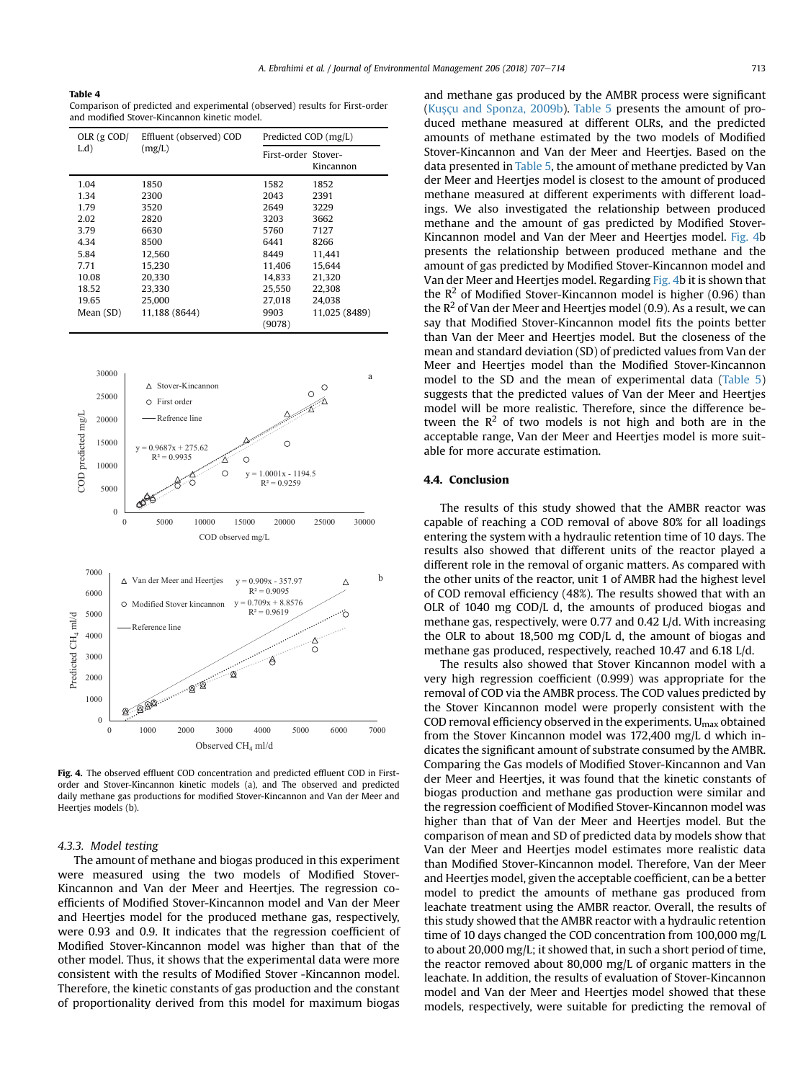<span id="page-6-0"></span>Table 4

Comparison of predicted and experimental (observed) results for First-order and modified Stover-Kincannon kinetic model.

| OLR $(g$ COD/<br>$L.d$ ) | Effluent (observed) COD<br>(mg/L) |                     | Predicted COD (mg/L) |  |
|--------------------------|-----------------------------------|---------------------|----------------------|--|
|                          |                                   | First-order Stover- | Kincannon            |  |
| 1.04                     | 1850                              | 1582                | 1852                 |  |
| 1.34                     | 2300                              | 2043                | 2391                 |  |
| 1.79                     | 3520                              | 2649                | 3229                 |  |
| 2.02                     | 2820                              | 3203                | 3662                 |  |
| 3.79                     | 6630                              | 5760                | 7127                 |  |
| 4.34                     | 8500                              | 6441                | 8266                 |  |
| 5.84                     | 12,560                            | 8449                | 11,441               |  |
| 7.71                     | 15,230                            | 11,406              | 15,644               |  |
| 10.08                    | 20.330                            | 14.833              | 21,320               |  |
| 18.52                    | 23.330                            | 25.550              | 22.308               |  |
| 19.65                    | 25,000                            | 27,018              | 24,038               |  |
| Mean (SD)                | 11,188 (8644)                     | 9903                | 11,025 (8489)        |  |
|                          |                                   | (9078)              |                      |  |



Fig. 4. The observed effluent COD concentration and predicted effluent COD in Firstorder and Stover-Kincannon kinetic models (a), and The observed and predicted daily methane gas productions for modified Stover-Kincannon and Van der Meer and Heerties models (b).

#### 4.3.3. Model testing

The amount of methane and biogas produced in this experiment were measured using the two models of Modified Stover-Kincannon and Van der Meer and Heertjes. The regression coefficients of Modified Stover-Kincannon model and Van der Meer and Heertjes model for the produced methane gas, respectively, were 0.93 and 0.9. It indicates that the regression coefficient of Modified Stover-Kincannon model was higher than that of the other model. Thus, it shows that the experimental data were more consistent with the results of Modified Stover -Kincannon model. Therefore, the kinetic constants of gas production and the constant of proportionality derived from this model for maximum biogas and methane gas produced by the AMBR process were significant ([Kus](#page-7-0)çu and Sponza, 2009b). [Table 5](#page-7-0) presents the amount of produced methane measured at different OLRs, and the predicted amounts of methane estimated by the two models of Modified Stover-Kincannon and Van der Meer and Heertjes. Based on the data presented in [Table 5,](#page-7-0) the amount of methane predicted by Van der Meer and Heertjes model is closest to the amount of produced methane measured at different experiments with different loadings. We also investigated the relationship between produced methane and the amount of gas predicted by Modified Stover-Kincannon model and Van der Meer and Heertjes model. Fig. 4b presents the relationship between produced methane and the amount of gas predicted by Modified Stover-Kincannon model and Van der Meer and Heertjes model. Regarding Fig. 4b it is shown that the  $R^2$  of Modified Stover-Kincannon model is higher (0.96) than the  $R^2$  of Van der Meer and Heertjes model (0.9). As a result, we can say that Modified Stover-Kincannon model fits the points better than Van der Meer and Heertjes model. But the closeness of the mean and standard deviation (SD) of predicted values from Van der Meer and Heertjes model than the Modified Stover-Kincannon model to the SD and the mean of experimental data ([Table 5\)](#page-7-0) suggests that the predicted values of Van der Meer and Heertjes model will be more realistic. Therefore, since the difference between the  $R^2$  of two models is not high and both are in the acceptable range, Van der Meer and Heertjes model is more suitable for more accurate estimation.

### 4.4. Conclusion

The results of this study showed that the AMBR reactor was capable of reaching a COD removal of above 80% for all loadings entering the system with a hydraulic retention time of 10 days. The results also showed that different units of the reactor played a different role in the removal of organic matters. As compared with the other units of the reactor, unit 1 of AMBR had the highest level of COD removal efficiency (48%). The results showed that with an OLR of 1040 mg COD/L d, the amounts of produced biogas and methane gas, respectively, were 0.77 and 0.42 L/d. With increasing the OLR to about 18,500 mg COD/L d, the amount of biogas and methane gas produced, respectively, reached 10.47 and 6.18 L/d.

The results also showed that Stover Kincannon model with a very high regression coefficient (0.999) was appropriate for the removal of COD via the AMBR process. The COD values predicted by the Stover Kincannon model were properly consistent with the COD removal efficiency observed in the experiments.  $U_{\text{max}}$  obtained from the Stover Kincannon model was 172,400 mg/L d which indicates the significant amount of substrate consumed by the AMBR. Comparing the Gas models of Modified Stover-Kincannon and Van der Meer and Heertjes, it was found that the kinetic constants of biogas production and methane gas production were similar and the regression coefficient of Modified Stover-Kincannon model was higher than that of Van der Meer and Heertjes model. But the comparison of mean and SD of predicted data by models show that Van der Meer and Heertjes model estimates more realistic data than Modified Stover-Kincannon model. Therefore, Van der Meer and Heertjes model, given the acceptable coefficient, can be a better model to predict the amounts of methane gas produced from leachate treatment using the AMBR reactor. Overall, the results of this study showed that the AMBR reactor with a hydraulic retention time of 10 days changed the COD concentration from 100,000 mg/L to about 20,000 mg/L; it showed that, in such a short period of time, the reactor removed about 80,000 mg/L of organic matters in the leachate. In addition, the results of evaluation of Stover-Kincannon model and Van der Meer and Heertjes model showed that these models, respectively, were suitable for predicting the removal of